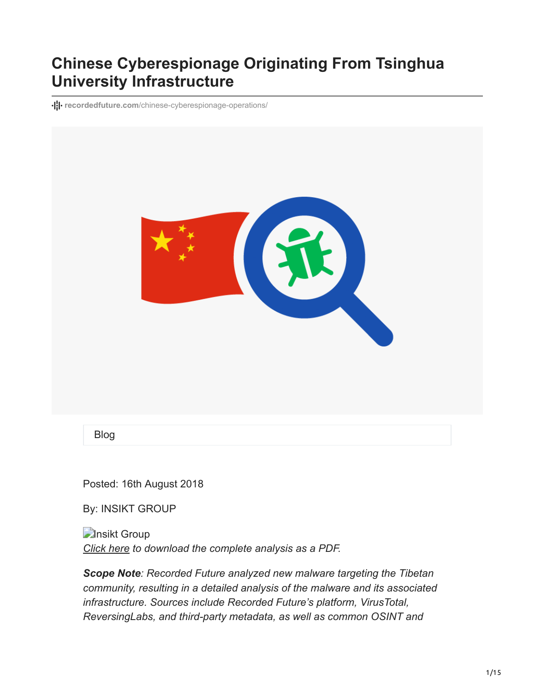# **Chinese Cyberespionage Originating From Tsinghua University Infrastructure**

**recordedfuture.com**[/chinese-cyberespionage-operations/](https://www.recordedfuture.com/chinese-cyberespionage-operations/)



Blog

Posted: 16th August 2018

By: INSIKT GROUP

**D**Insikt Group *[Click here](https://go.recordedfuture.com/hubfs/reports/cta-2018-0816.pdf) to download the complete analysis as a PDF.*

*Scope Note: Recorded Future analyzed new malware targeting the Tibetan community, resulting in a detailed analysis of the malware and its associated infrastructure. Sources include Recorded Future's platform, VirusTotal, ReversingLabs, and third-party metadata, as well as common OSINT and*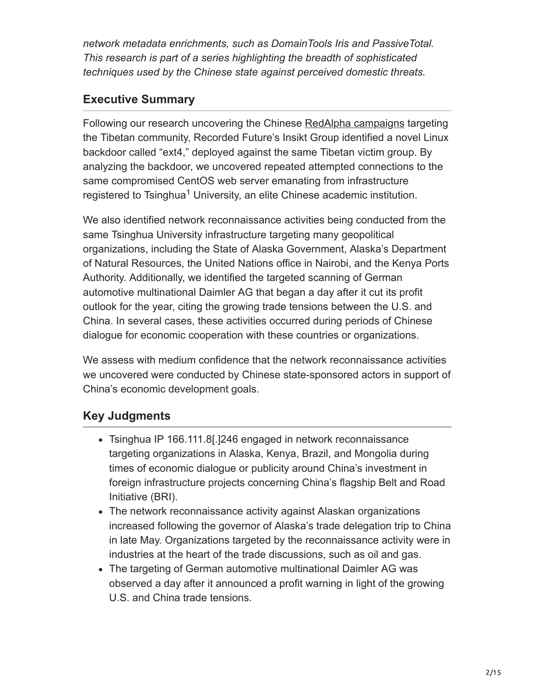*network metadata enrichments, such as DomainTools Iris and PassiveTotal. This research is part of a series highlighting the breadth of sophisticated techniques used by the Chinese state against perceived domestic threats.*

# **Executive Summary**

Following our research uncovering the Chinese [RedAlpha campaigns](https://www.recordedfuture.com/redalpha-cyber-campaigns/) targeting the Tibetan community, Recorded Future's Insikt Group identified a novel Linux backdoor called "ext4," deployed against the same Tibetan victim group. By analyzing the backdoor, we uncovered repeated attempted connections to the same compromised CentOS web server emanating from infrastructure registered to Tsinghua<sup>1</sup> University, an elite Chinese academic institution.

We also identified network reconnaissance activities being conducted from the same Tsinghua University infrastructure targeting many geopolitical organizations, including the State of Alaska Government, Alaska's Department of Natural Resources, the United Nations office in Nairobi, and the Kenya Ports Authority. Additionally, we identified the targeted scanning of German automotive multinational Daimler AG that began a day after it cut its profit outlook for the year, citing the growing trade tensions between the U.S. and China. In several cases, these activities occurred during periods of Chinese dialogue for economic cooperation with these countries or organizations.

We assess with medium confidence that the network reconnaissance activities we uncovered were conducted by Chinese state-sponsored actors in support of China's economic development goals.

# **Key Judgments**

- Tsinghua IP 166.111.8[.]246 engaged in network reconnaissance targeting organizations in Alaska, Kenya, Brazil, and Mongolia during times of economic dialogue or publicity around China's investment in foreign infrastructure projects concerning China's flagship Belt and Road Initiative (BRI).
- The network reconnaissance activity against Alaskan organizations increased following the governor of Alaska's trade delegation trip to China in late May. Organizations targeted by the reconnaissance activity were in industries at the heart of the trade discussions, such as oil and gas.
- The targeting of German automotive multinational Daimler AG was observed a day after it announced a profit warning in light of the growing U.S. and China trade tensions.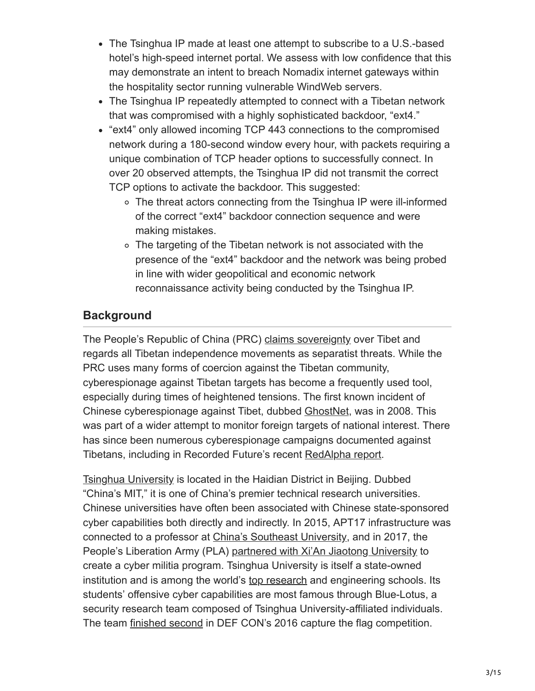- The Tsinghua IP made at least one attempt to subscribe to a U.S.-based hotel's high-speed internet portal. We assess with low confidence that this may demonstrate an intent to breach Nomadix internet gateways within the hospitality sector running vulnerable WindWeb servers.
- The Tsinghua IP repeatedly attempted to connect with a Tibetan network that was compromised with a highly sophisticated backdoor, "ext4."
- "ext4" only allowed incoming TCP 443 connections to the compromised network during a 180-second window every hour, with packets requiring a unique combination of TCP header options to successfully connect. In over 20 observed attempts, the Tsinghua IP did not transmit the correct TCP options to activate the backdoor. This suggested:
	- The threat actors connecting from the Tsinghua IP were ill-informed of the correct "ext4" backdoor connection sequence and were making mistakes.
	- The targeting of the Tibetan network is not associated with the presence of the "ext4" backdoor and the network was being probed in line with wider geopolitical and economic network reconnaissance activity being conducted by the Tsinghua IP.

# **Background**

The People's Republic of China (PRC) [claims sovereignty](http://www.china.org.cn/e-white/tibet/) over Tibet and regards all Tibetan independence movements as separatist threats. While the PRC uses many forms of coercion against the Tibetan community, cyberespionage against Tibetan targets has become a frequently used tool, especially during times of heightened tensions. The first known incident of Chinese cyberespionage against Tibet, dubbed [GhostNet,](http://www.nartv.org/mirror/ghostnet.pdf) was in 2008. This was part of a wider attempt to monitor foreign targets of national interest. There has since been numerous cyberespionage campaigns documented against Tibetans, including in Recorded Future's recent [RedAlpha report](https://www.recordedfuture.com/redalpha-cyber-campaigns/).

[Tsinghua University](http://www.tsinghua.edu.cn/publish/thu2018/index.html) is located in the Haidian District in Beijing. Dubbed "China's MIT," it is one of China's premier technical research universities. Chinese universities have often been associated with Chinese state-sponsored cyber capabilities both directly and indirectly. In 2015, APT17 infrastructure was connected to a professor at [China's Southeast University,](https://www.threatconnect.com/blog/the-anthem-hack-all-roads-lead-to-china/) and in 2017, the People's Liberation Army (PLA) [partnered with Xi'An Jiaotong University](http://news.sina.com.cn/o/2017-07-13/doc-ifyiaewh9001223.shtml) to create a cyber militia program. Tsinghua University is itself a state-owned institution and is among the world's [top research](https://www.timeshighereducation.com/world-university-rankings/tsinghua-university) and engineering schools. Its students' offensive cyber capabilities are most famous through Blue-Lotus, a security research team composed of Tsinghua University-affiliated individuals. The team [finished second](https://www.prnewswire.com/news-releases/baidu-blue-lotus-finishes-2nd-at-defcon-shows-chinas-strength-in-network-security-300310981.html) in DEF CON's 2016 capture the flag competition.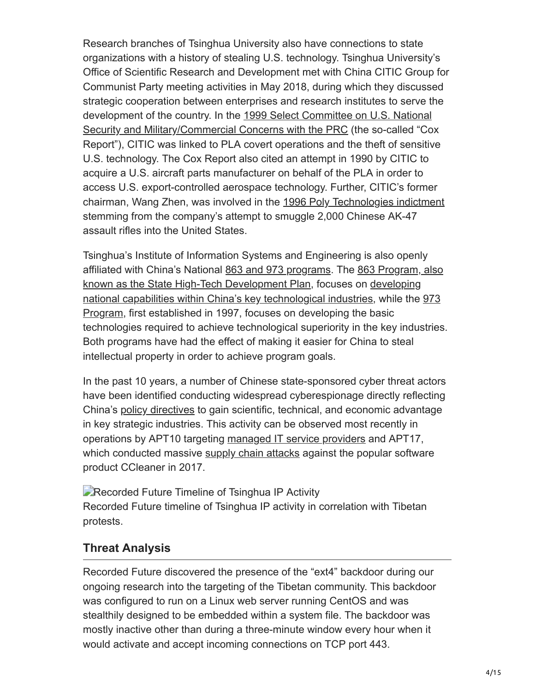Research branches of Tsinghua University also have connections to state organizations with a history of stealing U.S. technology. Tsinghua University's Office of Scientific Research and Development met with China CITIC Group for Communist Party meeting activities in May 2018, during which they discussed strategic cooperation between enterprises and research institutes to serve the [development of the country. In the 1999 Select Committee on U.S. National](https://www.gpo.gov/fdsys/pkg/GPO-CRPT-105hrpt851/pdf/GPO-CRPT-105hrpt851.pdf) Security and Military/Commercial Concerns with the PRC (the so-called "Cox Report"), CITIC was linked to PLA covert operations and the theft of sensitive U.S. technology. The Cox Report also cited an attempt in 1990 by CITIC to acquire a U.S. aircraft parts manufacturer on behalf of the PLA in order to access U.S. export-controlled aerospace technology. Further, CITIC's former chairman, Wang Zhen, was involved in the [1996 Poly Technologies indictment](https://www.congress.gov/congressional-report/105th-congress/senate-report/167/4) stemming from the company's attempt to smuggle 2,000 Chinese AK-47 assault rifles into the United States.

Tsinghua's Institute of Information Systems and Engineering is also openly [affiliated with China's National 8](http://www.most.gov.cn/eng/programmes1/)[63 and 973 programs](http://ise.thss.tsinghua.edu.cn/en/)[. The 863 Program, also](http://www.most.gov.cn/eng/programmes1/) known as the State High-Tech Development Plan, focuses on developing [national capabilities within China's key technological industries, while the](https://books.google.com/books?id=sWcolDneRrMC&printsec=frontcover#v=onepage&q=the%20973%20Program&f=false) [973](https://web.archive.org/web/20070612185037/http://www.973.gov.cn/English/Index.aspx) Program, first established in 1997, focuses on developing the basic technologies required to achieve technological superiority in the key industries. Both programs have had the effect of making it easier for China to steal intellectual property in order to achieve program goals.

In the past 10 years, a number of Chinese state-sponsored cyber threat actors have been identified conducting widespread cyberespionage directly reflecting China's [policy directives](http://www.gov.cn/xinwen/2016-03/17/content_5054992.htm) to gain scientific, technical, and economic advantage in key strategic industries. This activity can be observed most recently in operations by APT10 targeting [managed IT service providers](https://www.pwc.co.uk/issues/cyber-security-data-privacy/insights/operation-cloud-hopper.html) and APT17, which conducted massive [supply chain attacks](https://www.darkreading.com/endpoint/privacy/chinese-apt-backdoor-found-in-ccleaner-supply-chain-attack/d/d-id/1331250?) against the popular software product CCleaner in 2017.

**Recorded Future Timeline of Tsinghua IP Activity** Recorded Future timeline of Tsinghua IP activity in correlation with Tibetan protests.

# **Threat Analysis**

Recorded Future discovered the presence of the "ext4" backdoor during our ongoing research into the targeting of the Tibetan community. This backdoor was configured to run on a Linux web server running CentOS and was stealthily designed to be embedded within a system file. The backdoor was mostly inactive other than during a three-minute window every hour when it would activate and accept incoming connections on TCP port 443.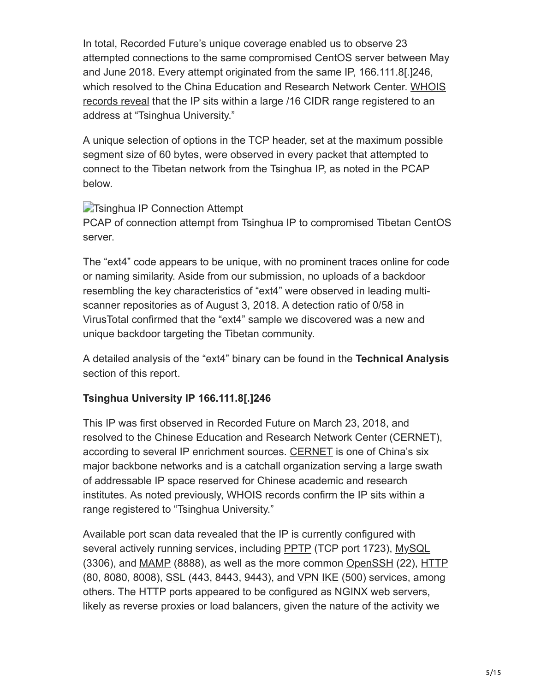In total, Recorded Future's unique coverage enabled us to observe 23 attempted connections to the same compromised CentOS server between May and June 2018. Every attempt originated from the same IP, 166.111.8[.]246, [which resolved to the China Education and Research Network Center. WHOIS](https://www.abuseipdb.com/whois/166.111.8.246) records reveal that the IP sits within a large /16 CIDR range registered to an address at "Tsinghua University."

A unique selection of options in the TCP header, set at the maximum possible segment size of 60 bytes, were observed in every packet that attempted to connect to the Tibetan network from the Tsinghua IP, as noted in the PCAP below.

#### **The Tsinghua IP Connection Attempt**

PCAP of connection attempt from Tsinghua IP to compromised Tibetan CentOS server.

The "ext4" code appears to be unique, with no prominent traces online for code or naming similarity. Aside from our submission, no uploads of a backdoor resembling the key characteristics of "ext4" were observed in leading multiscanner repositories as of August 3, 2018. A detection ratio of 0/58 in VirusTotal confirmed that the "ext4" sample we discovered was a new and unique backdoor targeting the Tibetan community.

A detailed analysis of the "ext4" binary can be found in the **Technical Analysis** section of this report.

#### **Tsinghua University IP 166.111.8[.]246**

This IP was first observed in Recorded Future on March 23, 2018, and resolved to the Chinese Education and Research Network Center (CERNET), according to several IP enrichment sources. [CERNET](https://en.wikipedia.org/wiki/CERNET) is one of China's six major backbone networks and is a catchall organization serving a large swath of addressable IP space reserved for Chinese academic and research institutes. As noted previously, WHOIS records confirm the IP sits within a range registered to "Tsinghua University."

Available port scan data revealed that the IP is currently configured with several actively running services, including [PPTP](https://en.wikipedia.org/wiki/Point-to-Point_Tunneling_Protocol) (TCP port 1723), [MySQL](https://en.wikipedia.org/wiki/MySQL) (3306), and [MAMP](https://en.wikipedia.org/wiki/MAMP) (8888), as well as the more common [OpenSSH](https://en.wikipedia.org/wiki/OpenSSH) (22), [HTTP](https://en.wikipedia.org/wiki/Hypertext_Transfer_Protocol) (80, 8080, 8008), [SSL](https://en.wikipedia.org/wiki/SSL) (443, 8443, 9443), and [VPN IKE](https://en.wikipedia.org/wiki/Internet_Key_Exchange) (500) services, among others. The HTTP ports appeared to be configured as NGINX web servers, likely as reverse proxies or load balancers, given the nature of the activity we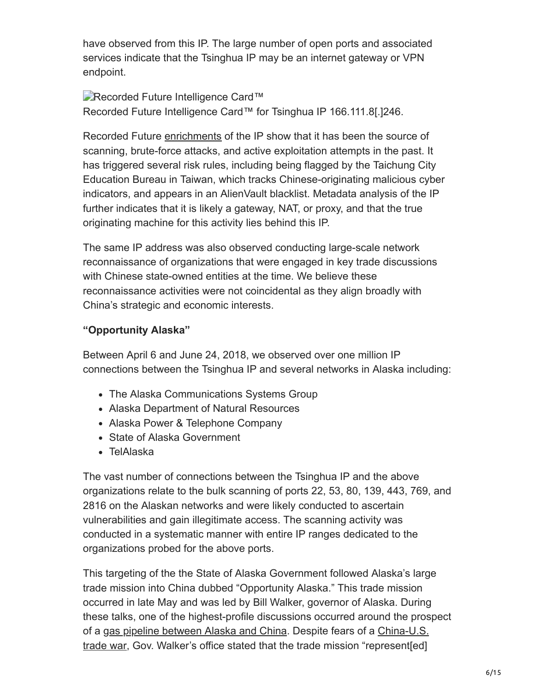have observed from this IP. The large number of open ports and associated services indicate that the Tsinghua IP may be an internet gateway or VPN endpoint.

**Recorded Future Intelligence Card™** Recorded Future Intelligence Card™ for Tsinghua IP 166.111.8[.]246.

Recorded Future [enrichments](https://www.abuseipdb.com/check/166.111.8.246) of the IP show that it has been the source of scanning, brute-force attacks, and active exploitation attempts in the past. It has triggered several risk rules, including being flagged by the Taichung City Education Bureau in Taiwan, which tracks Chinese-originating malicious cyber indicators, and appears in an AlienVault blacklist. Metadata analysis of the IP further indicates that it is likely a gateway, NAT, or proxy, and that the true originating machine for this activity lies behind this IP.

The same IP address was also observed conducting large-scale network reconnaissance of organizations that were engaged in key trade discussions with Chinese state-owned entities at the time. We believe these reconnaissance activities were not coincidental as they align broadly with China's strategic and economic interests.

#### **"Opportunity Alaska"**

Between April 6 and June 24, 2018, we observed over one million IP connections between the Tsinghua IP and several networks in Alaska including:

- The Alaska Communications Systems Group
- Alaska Department of Natural Resources
- Alaska Power & Telephone Company
- State of Alaska Government
- TelAlaska

The vast number of connections between the Tsinghua IP and the above organizations relate to the bulk scanning of ports 22, 53, 80, 139, 443, 769, and 2816 on the Alaskan networks and were likely conducted to ascertain vulnerabilities and gain illegitimate access. The scanning activity was conducted in a systematic manner with entire IP ranges dedicated to the organizations probed for the above ports.

This targeting of the the State of Alaska Government followed Alaska's large trade mission into China dubbed "Opportunity Alaska." This trade mission occurred in late May and was led by Bill Walker, governor of Alaska. During these talks, one of the highest-profile discussions occurred around the prospect [of a](http://www.xinhuanet.com/english/2018-05/21/c_137193556.htm) [gas pipeline between Alaska and Chin](https://oilprice.com/Energy/Natural-Gas/Is-A-Natural-Gas-Pipeline-Between-Alaska-And-China-Realistic.html)[a. Despite fears of a China-U.S.](http://www.xinhuanet.com/english/2018-05/21/c_137193556.htm) trade war, Gov. Walker's office stated that the trade mission "represent[ed]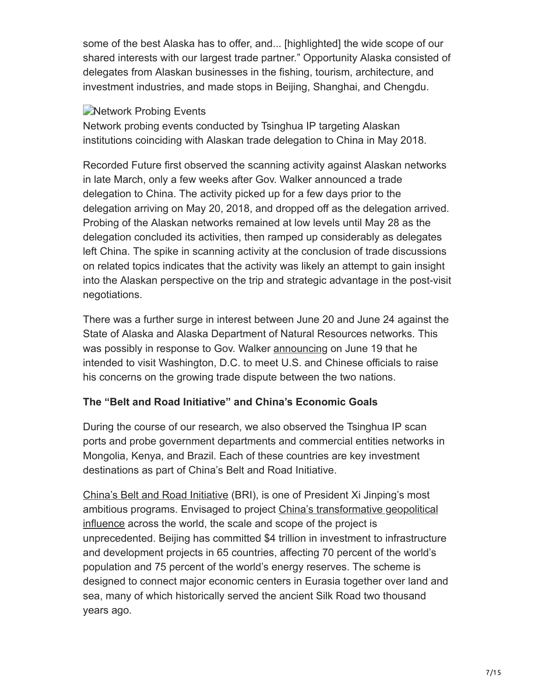some of the best Alaska has to offer, and... [highlighted] the wide scope of our shared interests with our largest trade partner." Opportunity Alaska consisted of delegates from Alaskan businesses in the fishing, tourism, architecture, and investment industries, and made stops in Beijing, Shanghai, and Chengdu.

#### **Network Probing Events**

Network probing events conducted by Tsinghua IP targeting Alaskan institutions coinciding with Alaskan trade delegation to China in May 2018.

Recorded Future first observed the scanning activity against Alaskan networks in late March, only a few weeks after Gov. Walker announced a trade delegation to China. The activity picked up for a few days prior to the delegation arriving on May 20, 2018, and dropped off as the delegation arrived. Probing of the Alaskan networks remained at low levels until May 28 as the delegation concluded its activities, then ramped up considerably as delegates left China. The spike in scanning activity at the conclusion of trade discussions on related topics indicates that the activity was likely an attempt to gain insight into the Alaskan perspective on the trip and strategic advantage in the post-visit negotiations.

There was a further surge in interest between June 20 and June 24 against the State of Alaska and Alaska Department of Natural Resources networks. This was possibly in response to Gov. Walker [announcing](https://www.upi.com/Alaskas-governor-to-issue-plea-to-avert-trade-war/3971529407509/) on June 19 that he intended to visit Washington, D.C. to meet U.S. and Chinese officials to raise his concerns on the growing trade dispute between the two nations.

#### **The "Belt and Road Initiative" and China's Economic Goals**

During the course of our research, we also observed the Tsinghua IP scan ports and probe government departments and commercial entities networks in Mongolia, Kenya, and Brazil. Each of these countries are key investment destinations as part of China's Belt and Road Initiative.

[China's Belt and Road Initiative](http://english.gov.cn/archive/publications/2015/03/30/content_281475080249035.htm) (BRI), is one of President Xi Jinping's most [ambitious programs. Envisaged to project China's transformative geopolitical](https://thediplomat.com/2018/06/what-does-chinas-belt-and-road-initiative-mean-for-us-grand-strategy/) influence across the world, the scale and scope of the project is unprecedented. Beijing has committed \$4 trillion in investment to infrastructure and development projects in 65 countries, affecting 70 percent of the world's population and 75 percent of the world's energy reserves. The scheme is designed to connect major economic centers in Eurasia together over land and sea, many of which historically served the ancient Silk Road two thousand years ago.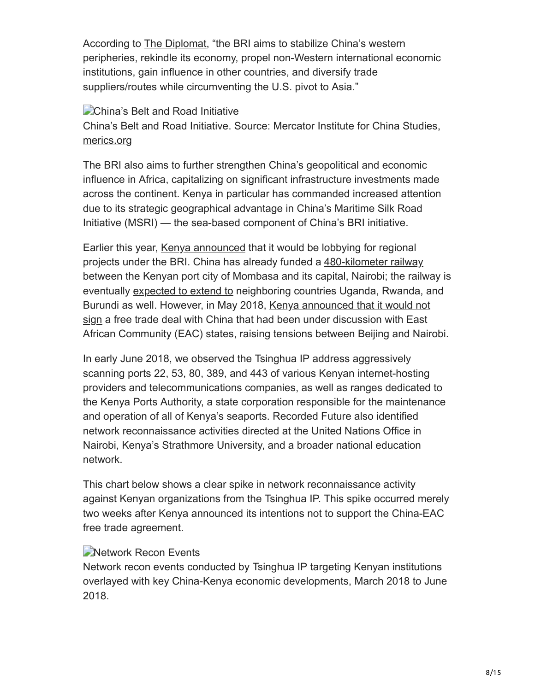According to [The Diplomat](https://thediplomat.com/2018/06/what-does-chinas-belt-and-road-initiative-mean-for-us-grand-strategy/), "the BRI aims to stabilize China's western peripheries, rekindle its economy, propel non-Western international economic institutions, gain influence in other countries, and diversify trade suppliers/routes while circumventing the U.S. pivot to Asia."

#### **China's Belt and Road Initiative**

China's Belt and Road Initiative. Source: Mercator Institute for China Studies, [merics.org](https://www.merics.org/en)

The BRI also aims to further strengthen China's geopolitical and economic influence in Africa, capitalizing on significant infrastructure investments made across the continent. Kenya in particular has commanded increased attention due to its strategic geographical advantage in China's Maritime Silk Road Initiative (MSRI) — the sea-based component of China's BRI initiative.

Earlier this year, [Kenya announced](http://www.xinhuanet.com/english/2018-03/30/c_137075352.htm) that it would be lobbying for regional projects under the BRI. China has already funded a [480-kilometer railway](http://www.xinhuanet.com/english/2018-06/01/c_137223684.htm) between the Kenyan port city of Mombasa and its capital, Nairobi; the railway is eventually [expected to extend to](http://www.chinadaily.com.cn/opinion/2017-06/01/content_29570088.htm) neighboring countries Uganda, Rwanda, and [Burundi as well. However, in May 2018, Kenya announced that it would not](http://www.theeastafrican.co.ke/business/Kenya-rejects-China-EAC-free-trade-agreement/2560-4562142-x5dhrgz/index.html) sign a free trade deal with China that had been under discussion with East African Community (EAC) states, raising tensions between Beijing and Nairobi.

In early June 2018, we observed the Tsinghua IP address aggressively scanning ports 22, 53, 80, 389, and 443 of various Kenyan internet-hosting providers and telecommunications companies, as well as ranges dedicated to the Kenya Ports Authority, a state corporation responsible for the maintenance and operation of all of Kenya's seaports. Recorded Future also identified network reconnaissance activities directed at the United Nations Office in Nairobi, Kenya's Strathmore University, and a broader national education network.

This chart below shows a clear spike in network reconnaissance activity against Kenyan organizations from the Tsinghua IP. This spike occurred merely two weeks after Kenya announced its intentions not to support the China-EAC free trade agreement.

#### **Network Recon Events**

Network recon events conducted by Tsinghua IP targeting Kenyan institutions overlayed with key China-Kenya economic developments, March 2018 to June 2018.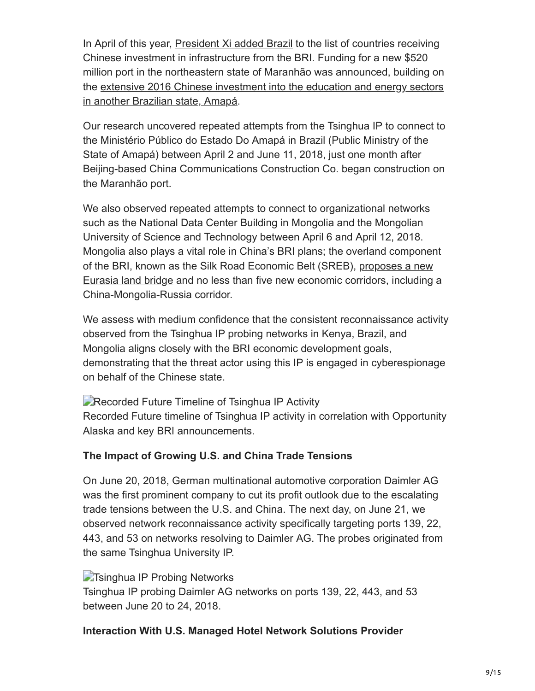In April of this year, [President Xi added Brazil](https://www.bloomberg.com/news/articles/2018-04-25/china-expands-brazil-frontier-as-investment-grows-during-crisis) to the list of countries receiving Chinese investment in infrastructure from the BRI. Funding for a new \$520 million port in the northeastern state of Maranhão was announced, building on [the extensive 2016 Chinese investment into the education and energy sectors](https://www.portal.ap.gov.br/ler_noticia.php?slug=1609/camara-brasil-china-sinaliza-investimentos-na-educacao-amapaense) in another Brazilian state, Amapá.

Our research uncovered repeated attempts from the Tsinghua IP to connect to the Ministério Público do Estado Do Amapá in Brazil (Public Ministry of the State of Amapá) between April 2 and June 11, 2018, just one month after Beijing-based China Communications Construction Co. began construction on the Maranhão port.

We also observed repeated attempts to connect to organizational networks such as the National Data Center Building in Mongolia and the Mongolian University of Science and Technology between April 6 and April 12, 2018. Mongolia also plays a vital role in China's BRI plans; the overland component of the BRI, known as the Silk Road Economic Belt (SREB), proposes a new [Eurasia land bridge and no less than five new economic corridors, including](https://theconversation.com/the-belt-and-road-initiative-chinas-vision-for-globalisation-beijing-style-77705) a China-Mongolia-Russia corridor.

We assess with medium confidence that the consistent reconnaissance activity observed from the Tsinghua IP probing networks in Kenya, Brazil, and Mongolia aligns closely with the BRI economic development goals, demonstrating that the threat actor using this IP is engaged in cyberespionage on behalf of the Chinese state.

**Recorded Future Timeline of Tsinghua IP Activity** Recorded Future timeline of Tsinghua IP activity in correlation with Opportunity Alaska and key BRI announcements.

#### **The Impact of Growing U.S. and China Trade Tensions**

On June 20, 2018, German multinational automotive corporation Daimler AG was the first prominent company to cut its profit outlook due to the escalating trade tensions between the U.S. and China. The next day, on June 21, we observed network reconnaissance activity specifically targeting ports 139, 22, 443, and 53 on networks resolving to Daimler AG. The probes originated from the same Tsinghua University IP.

#### **The Tsinghua IP Probing Networks**

Tsinghua IP probing Daimler AG networks on ports 139, 22, 443, and 53 between June 20 to 24, 2018.

#### **Interaction With U.S. Managed Hotel Network Solutions Provider**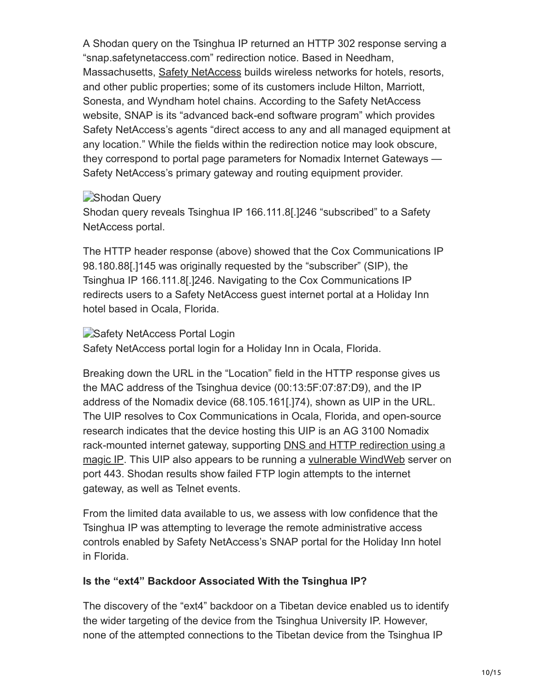A Shodan query on the Tsinghua IP returned an HTTP 302 response serving a "snap.safetynetaccess.com" redirection notice. Based in Needham, Massachusetts, [Safety NetAccess](http://safetynetaccess.com/) builds wireless networks for hotels, resorts, and other public properties; some of its customers include Hilton, Marriott, Sonesta, and Wyndham hotel chains. According to the Safety NetAccess website, SNAP is its "advanced back-end software program" which provides Safety NetAccess's agents "direct access to any and all managed equipment at any location." While the fields within the redirection notice may look obscure, they correspond to portal page parameters for Nomadix Internet Gateways — Safety NetAccess's primary gateway and routing equipment provider.

#### Shodan Query

Shodan query reveals Tsinghua IP 166.111.8[.]246 "subscribed" to a Safety NetAccess portal.

The HTTP header response (above) showed that the Cox Communications IP 98.180.88[.]145 was originally requested by the "subscriber" (SIP), the Tsinghua IP 166.111.8[.]246. Navigating to the Cox Communications IP redirects users to a Safety NetAccess guest internet portal at a Holiday Inn hotel based in Ocala, Florida.

#### Safety NetAccess Portal Login

Safety NetAccess portal login for a Holiday Inn in Ocala, Florida.

Breaking down the URL in the "Location" field in the HTTP response gives us the MAC address of the Tsinghua device (00:13:5F:07:87:D9), and the IP address of the Nomadix device (68.105.161[.]74), shown as UIP in the URL. The UIP resolves to Cox Communications in Ocala, Florida, and open-source research indicates that the device hosting this UIP is an AG 3100 Nomadix [rack-mounted internet gateway, supporting DNS and HTTP redirection using a](http://business.nomadix.com/aghelp/common/ag_userguide/Administration/Configuring_Destination_HTTP_Redirect.htm) magic IP. This UIP also appears to be running a [vulnerable WindWeb](https://www.symantec.com/security_response/attacksignatures/detail.jsp?asid=24707) server on port 443. Shodan results show failed FTP login attempts to the internet gateway, as well as Telnet events.

From the limited data available to us, we assess with low confidence that the Tsinghua IP was attempting to leverage the remote administrative access controls enabled by Safety NetAccess's SNAP portal for the Holiday Inn hotel in Florida.

#### **Is the "ext4" Backdoor Associated With the Tsinghua IP?**

The discovery of the "ext4" backdoor on a Tibetan device enabled us to identify the wider targeting of the device from the Tsinghua University IP. However, none of the attempted connections to the Tibetan device from the Tsinghua IP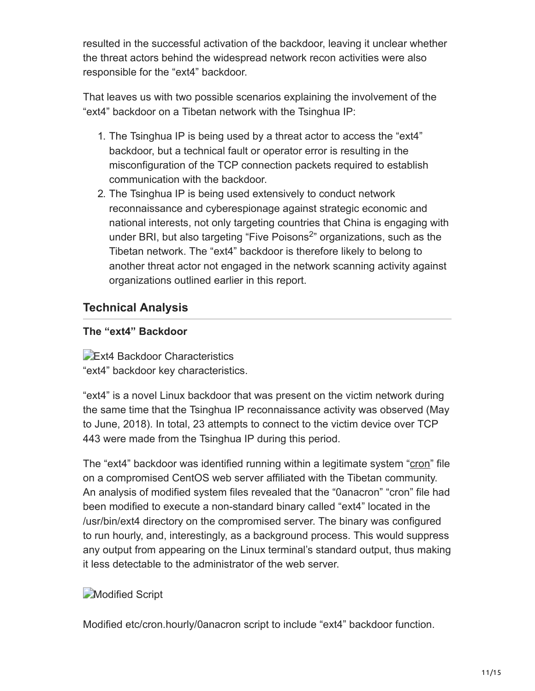resulted in the successful activation of the backdoor, leaving it unclear whether the threat actors behind the widespread network recon activities were also responsible for the "ext4" backdoor.

That leaves us with two possible scenarios explaining the involvement of the "ext4" backdoor on a Tibetan network with the Tsinghua IP:

- 1. The Tsinghua IP is being used by a threat actor to access the "ext4" backdoor, but a technical fault or operator error is resulting in the misconfiguration of the TCP connection packets required to establish communication with the backdoor.
- 2. The Tsinghua IP is being used extensively to conduct network reconnaissance and cyberespionage against strategic economic and national interests, not only targeting countries that China is engaging with under BRI, but also targeting "Five Poisons<sup>2</sup>" organizations, such as the Tibetan network. The "ext4" backdoor is therefore likely to belong to another threat actor not engaged in the network scanning activity against organizations outlined earlier in this report.

# **Technical Analysis**

#### **The "ext4" Backdoor**

**Ext4 Backdoor Characteristics** "ext4" backdoor key characteristics.

"ext4" is a novel Linux backdoor that was present on the victim network during the same time that the Tsinghua IP reconnaissance activity was observed (May to June, 2018). In total, 23 attempts to connect to the victim device over TCP 443 were made from the Tsinghua IP during this period.

The "ext4" backdoor was identified running within a legitimate system "[cron"](https://en.wikipedia.org/wiki/Cron) file on a compromised CentOS web server affiliated with the Tibetan community. An analysis of modified system files revealed that the "0anacron" "cron" file had been modified to execute a non-standard binary called "ext4" located in the /usr/bin/ext4 directory on the compromised server. The binary was configured to run hourly, and, interestingly, as a background process. This would suppress any output from appearing on the Linux terminal's standard output, thus making it less detectable to the administrator of the web server.

# **Modified Script**

Modified etc/cron.hourly/0anacron script to include "ext4" backdoor function.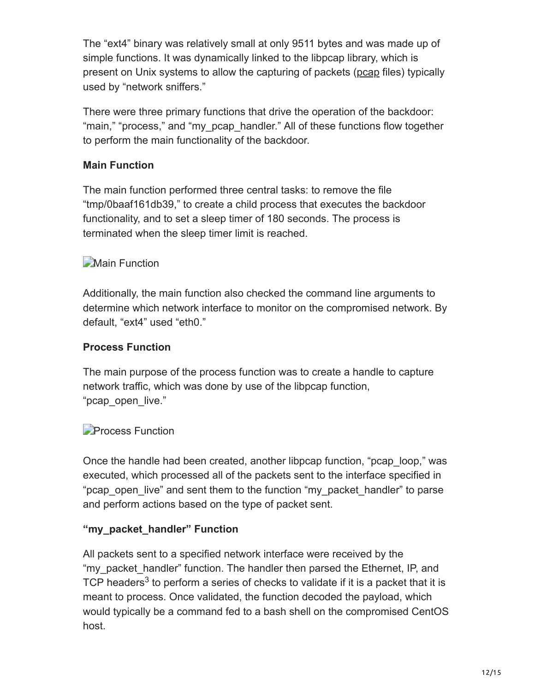The "ext4" binary was relatively small at only 9511 bytes and was made up of simple functions. It was dynamically linked to the libpcap library, which is present on Unix systems to allow the capturing of packets ([pcap](https://en.wikipedia.org/wiki/Pcap) files) typically used by "network sniffers."

There were three primary functions that drive the operation of the backdoor: "main," "process," and "my\_pcap\_handler." All of these functions flow together to perform the main functionality of the backdoor.

#### **Main Function**

The main function performed three central tasks: to remove the file "tmp/0baaf161db39," to create a child process that executes the backdoor functionality, and to set a sleep timer of 180 seconds. The process is terminated when the sleep timer limit is reached.

# **Main Function**

Additionally, the main function also checked the command line arguments to determine which network interface to monitor on the compromised network. By default, "ext4" used "eth0."

#### **Process Function**

The main purpose of the process function was to create a handle to capture network traffic, which was done by use of the libpcap function, "pcap open live."

#### **Process Function**

Once the handle had been created, another libpcap function, "pcap\_loop," was executed, which processed all of the packets sent to the interface specified in "pcap open live" and sent them to the function "my\_packet\_handler" to parse and perform actions based on the type of packet sent.

#### **"my\_packet\_handler" Function**

All packets sent to a specified network interface were received by the "my\_packet\_handler" function. The handler then parsed the Ethernet, IP, and TCP headers<sup>3</sup> to perform a series of checks to validate if it is a packet that it is meant to process. Once validated, the function decoded the payload, which would typically be a command fed to a bash shell on the compromised CentOS host.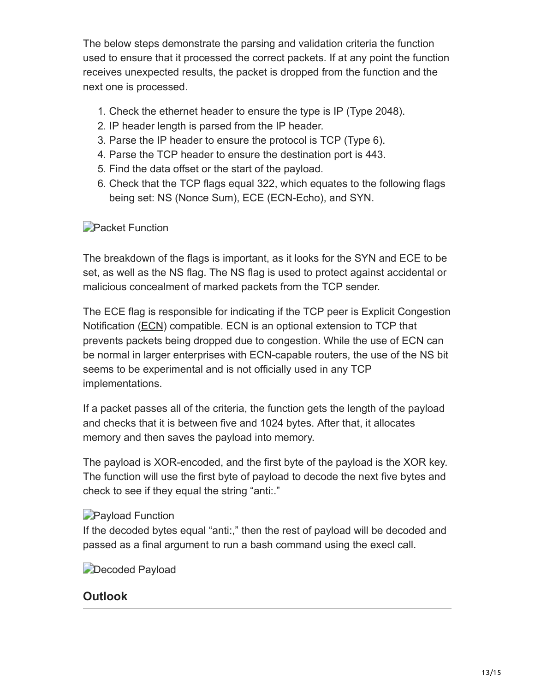The below steps demonstrate the parsing and validation criteria the function used to ensure that it processed the correct packets. If at any point the function receives unexpected results, the packet is dropped from the function and the next one is processed.

- 1. Check the ethernet header to ensure the type is IP (Type 2048).
- 2. IP header length is parsed from the IP header.
- 3. Parse the IP header to ensure the protocol is TCP (Type 6).
- 4. Parse the TCP header to ensure the destination port is 443.
- 5. Find the data offset or the start of the payload.
- 6. Check that the TCP flags equal 322, which equates to the following flags being set: NS (Nonce Sum), ECE (ECN-Echo), and SYN.

# **Packet Function**

The breakdown of the flags is important, as it looks for the SYN and ECE to be set, as well as the NS flag. The NS flag is used to protect against accidental or malicious concealment of marked packets from the TCP sender.

The ECE flag is responsible for indicating if the TCP peer is Explicit Congestion Notification ([ECN](https://en.wikipedia.org/wiki/Explicit_Congestion_Notification)) compatible. ECN is an optional extension to TCP that prevents packets being dropped due to congestion. While the use of ECN can be normal in larger enterprises with ECN-capable routers, the use of the NS bit seems to be experimental and is not officially used in any TCP implementations.

If a packet passes all of the criteria, the function gets the length of the payload and checks that it is between five and 1024 bytes. After that, it allocates memory and then saves the payload into memory.

The payload is XOR-encoded, and the first byte of the payload is the XOR key. The function will use the first byte of payload to decode the next five bytes and check to see if they equal the string "anti:."

# **Payload Function**

If the decoded bytes equal "anti:," then the rest of payload will be decoded and passed as a final argument to run a bash command using the execl call.

**Decoded Payload** 

# **Outlook**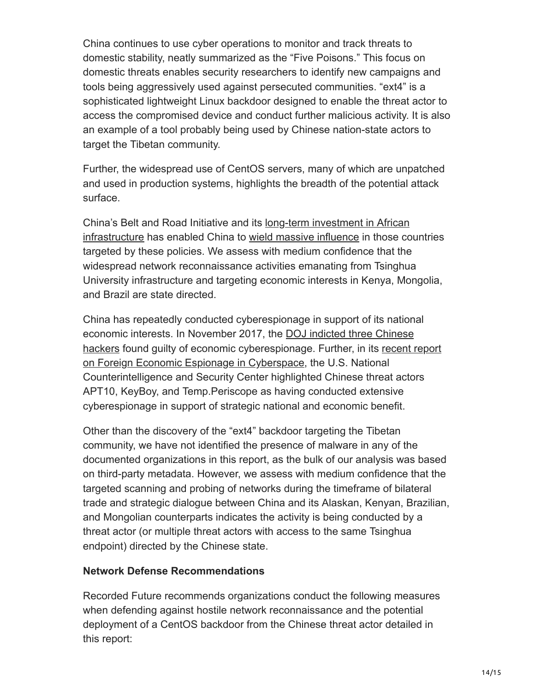China continues to use cyber operations to monitor and track threats to domestic stability, neatly summarized as the "Five Poisons." This focus on domestic threats enables security researchers to identify new campaigns and tools being aggressively used against persecuted communities. "ext4" is a sophisticated lightweight Linux backdoor designed to enable the threat actor to access the compromised device and conduct further malicious activity. It is also an example of a tool probably being used by Chinese nation-state actors to target the Tibetan community.

Further, the widespread use of CentOS servers, many of which are unpatched and used in production systems, highlights the breadth of the potential attack surface.

[China's Belt and Road Initiative and its long-term investment in African](https://www.mckinsey.com/featured-insights/middle-east-and-africa/the-closest-look-yet-at-chinese-economic-engagement-in-africa) infrastructure has enabled China to [wield massive influence](https://www.ft.com/content/0f534aa4-4549-11e7-8519-9f94ee97d996) in those countries targeted by these policies. We assess with medium confidence that the widespread network reconnaissance activities emanating from Tsinghua University infrastructure and targeting economic interests in Kenya, Mongolia, and Brazil are state directed.

China has repeatedly conducted cyberespionage in support of its national economic interests. In November 2017, the DOJ indicted three Chinese [hackers found guilty of economic cyberespionage. Further, in its recent](https://www.justice.gov/opa/pr/us-charges-three-chinese-hackers-who-work-internet-security-firm-hacking-three-corporations) [report](https://www.dni.gov/files/NCSC/documents/news/20180724-economic-espionage-pub.pdf) on Foreign Economic Espionage in Cyberspace, the U.S. National Counterintelligence and Security Center highlighted Chinese threat actors APT10, KeyBoy, and Temp.Periscope as having conducted extensive cyberespionage in support of strategic national and economic benefit.

Other than the discovery of the "ext4" backdoor targeting the Tibetan community, we have not identified the presence of malware in any of the documented organizations in this report, as the bulk of our analysis was based on third-party metadata. However, we assess with medium confidence that the targeted scanning and probing of networks during the timeframe of bilateral trade and strategic dialogue between China and its Alaskan, Kenyan, Brazilian, and Mongolian counterparts indicates the activity is being conducted by a threat actor (or multiple threat actors with access to the same Tsinghua endpoint) directed by the Chinese state.

#### **Network Defense Recommendations**

Recorded Future recommends organizations conduct the following measures when defending against hostile network reconnaissance and the potential deployment of a CentOS backdoor from the Chinese threat actor detailed in this report: